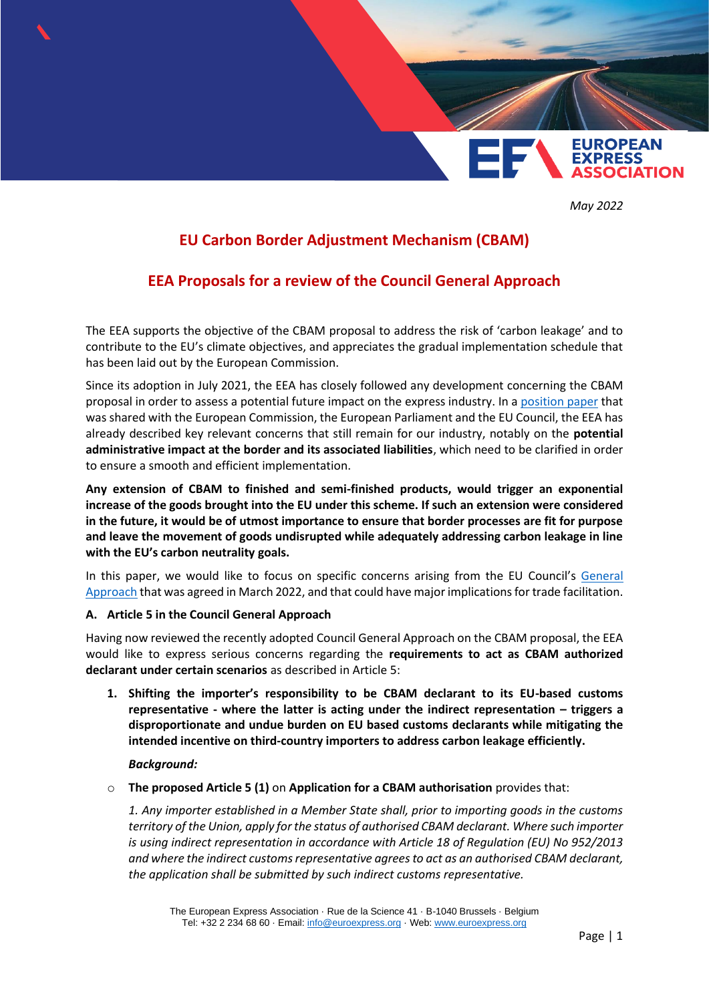

*May 2022*

# **EU Carbon Border Adjustment Mechanism (CBAM)**

## **EEA Proposals for a review of the Council General Approach**

The EEA supports the objective of the CBAM proposal to address the risk of 'carbon leakage' and to contribute to the EU's climate objectives, and appreciates the gradual implementation schedule that has been laid out by the European Commission.

Since its adoption in July 2021, the EEA has closely followed any development concerning the CBAM proposal in order to assess a potential future impact on the express industry. In a [position paper](https://www.euroexpress.org/uploads/ELibrary/EEA%20feedback%20on%20CBAM%20legislative%20proposal.pdf) that was shared with the European Commission, the European Parliament and the EU Council, the EEA has already described key relevant concerns that still remain for our industry, notably on the **potential administrative impact at the border and its associated liabilities**, which need to be clarified in order to ensure a smooth and efficient implementation.

**Any extension of CBAM to finished and semi-finished products, would trigger an exponential increase of the goods brought into the EU under this scheme. If such an extension were considered in the future, it would be of utmost importance to ensure that border processes are fit for purpose and leave the movement of goods undisrupted while adequately addressing carbon leakage in line with the EU's carbon neutrality goals.** 

In this paper, we would like to focus on specific concerns arising from the EU Council's [General](https://data.consilium.europa.eu/doc/document/ST-7226-2022-INIT/en/pdf)  [Approach](https://data.consilium.europa.eu/doc/document/ST-7226-2022-INIT/en/pdf) that was agreed in March 2022, and that could have major implications for trade facilitation.

#### **A. Article 5 in the Council General Approach**

Having now reviewed the recently adopted Council General Approach on the CBAM proposal, the EEA would like to express serious concerns regarding the **requirements to act as CBAM authorized declarant under certain scenarios** as described in Article 5:

**1. Shifting the importer's responsibility to be CBAM declarant to its EU-based customs representative - where the latter is acting under the indirect representation – triggers a disproportionate and undue burden on EU based customs declarants while mitigating the intended incentive on third-country importers to address carbon leakage efficiently.**

#### *Background:*

o **The proposed Article 5 (1)** on **Application for a CBAM authorisation** provides that:

*1. Any importer established in a Member State shall, prior to importing goods in the customs territory of the Union, apply for the status of authorised CBAM declarant. Where such importer is using indirect representation in accordance with Article 18 of Regulation (EU) No 952/2013 and where the indirect customs representative agrees to act as an authorised CBAM declarant, the application shall be submitted by such indirect customs representative.*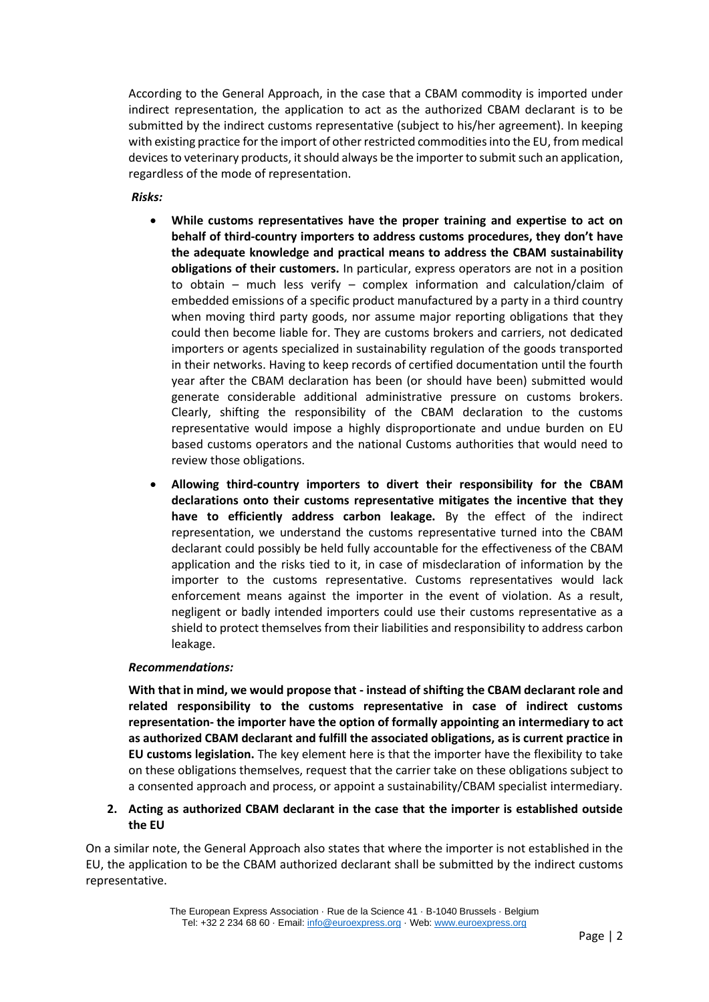According to the General Approach, in the case that a CBAM commodity is imported under indirect representation, the application to act as the authorized CBAM declarant is to be submitted by the indirect customs representative (subject to his/her agreement). In keeping with existing practice for the import of other restricted commodities into the EU, from medical devices to veterinary products, it should always be the importer to submit such an application, regardless of the mode of representation.

*Risks:* 

- **While customs representatives have the proper training and expertise to act on behalf of third-country importers to address customs procedures, they don't have the adequate knowledge and practical means to address the CBAM sustainability obligations of their customers.** In particular, express operators are not in a position to obtain – much less verify – complex information and calculation/claim of embedded emissions of a specific product manufactured by a party in a third country when moving third party goods, nor assume major reporting obligations that they could then become liable for. They are customs brokers and carriers, not dedicated importers or agents specialized in sustainability regulation of the goods transported in their networks. Having to keep records of certified documentation until the fourth year after the CBAM declaration has been (or should have been) submitted would generate considerable additional administrative pressure on customs brokers. Clearly, shifting the responsibility of the CBAM declaration to the customs representative would impose a highly disproportionate and undue burden on EU based customs operators and the national Customs authorities that would need to review those obligations.
- **Allowing third-country importers to divert their responsibility for the CBAM declarations onto their customs representative mitigates the incentive that they have to efficiently address carbon leakage.** By the effect of the indirect representation, we understand the customs representative turned into the CBAM declarant could possibly be held fully accountable for the effectiveness of the CBAM application and the risks tied to it, in case of misdeclaration of information by the importer to the customs representative. Customs representatives would lack enforcement means against the importer in the event of violation. As a result, negligent or badly intended importers could use their customs representative as a shield to protect themselves from their liabilities and responsibility to address carbon leakage.

#### *Recommendations:*

**With that in mind, we would propose that - instead of shifting the CBAM declarant role and related responsibility to the customs representative in case of indirect customs representation- the importer have the option of formally appointing an intermediary to act as authorized CBAM declarant and fulfill the associated obligations, as is current practice in EU customs legislation.** The key element here is that the importer have the flexibility to take on these obligations themselves, request that the carrier take on these obligations subject to a consented approach and process, or appoint a sustainability/CBAM specialist intermediary.

### **2. Acting as authorized CBAM declarant in the case that the importer is established outside the EU**

On a similar note, the General Approach also states that where the importer is not established in the EU, the application to be the CBAM authorized declarant shall be submitted by the indirect customs representative.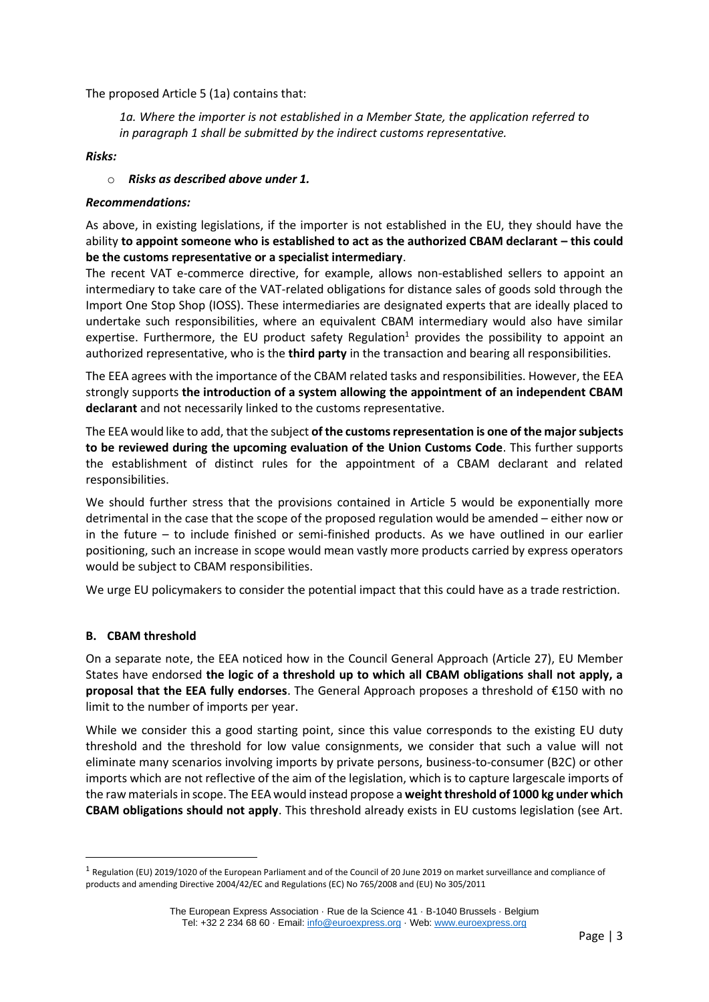The proposed Article 5 (1a) contains that:

*1a. Where the importer is not established in a Member State, the application referred to in paragraph 1 shall be submitted by the indirect customs representative.*

#### *Risks:*

#### o *Risks as described above under 1.*

#### *Recommendations:*

As above, in existing legislations, if the importer is not established in the EU, they should have the ability **to appoint someone who is established to act as the authorized CBAM declarant – this could be the customs representative or a specialist intermediary**.

The recent VAT e-commerce directive, for example, allows non-established sellers to appoint an intermediary to take care of the VAT-related obligations for distance sales of goods sold through the Import One Stop Shop (IOSS). These intermediaries are designated experts that are ideally placed to undertake such responsibilities, where an equivalent CBAM intermediary would also have similar expertise. Furthermore, the EU product safety Regulation<sup>1</sup> provides the possibility to appoint an authorized representative, who is the **third party** in the transaction and bearing all responsibilities.

The EEA agrees with the importance of the CBAM related tasks and responsibilities. However, the EEA strongly supports **the introduction of a system allowing the appointment of an independent CBAM declarant** and not necessarily linked to the customs representative.

The EEA would like to add, that the subject **of the customs representation is one of the major subjects to be reviewed during the upcoming evaluation of the Union Customs Code**. This further supports the establishment of distinct rules for the appointment of a CBAM declarant and related responsibilities.

We should further stress that the provisions contained in Article 5 would be exponentially more detrimental in the case that the scope of the proposed regulation would be amended – either now or in the future – to include finished or semi-finished products. As we have outlined in our earlier positioning, such an increase in scope would mean vastly more products carried by express operators would be subject to CBAM responsibilities.

We urge EU policymakers to consider the potential impact that this could have as a trade restriction.

#### **B. CBAM threshold**

On a separate note, the EEA noticed how in the Council General Approach (Article 27), EU Member States have endorsed **the logic of a threshold up to which all CBAM obligations shall not apply, a proposal that the EEA fully endorses**. The General Approach proposes a threshold of €150 with no limit to the number of imports per year.

While we consider this a good starting point, since this value corresponds to the existing EU duty threshold and the threshold for low value consignments, we consider that such a value will not eliminate many scenarios involving imports by private persons, business-to-consumer (B2C) or other imports which are not reflective of the aim of the legislation, which is to capture largescale imports of the raw materials in scope. The EEA would instead propose a **weight threshold of 1000 kg under which CBAM obligations should not apply**. This threshold already exists in EU customs legislation (see Art.

 $^1$  Regulation (EU) 2019/1020 of the European Parliament and of the Council of 20 June 2019 on market surveillance and compliance of products and amending Directive 2004/42/EC and Regulations (EC) No 765/2008 and (EU) No 305/2011

The European Express Association · Rue de la Science 41 · B-1040 Brussels · Belgium Tel: +32 2 234 68 60 · Email: [info@euroexpress.org](mailto:info@euroexpress.org) · Web: [www.euroexpress.org](http://www.euroexpress.org/)